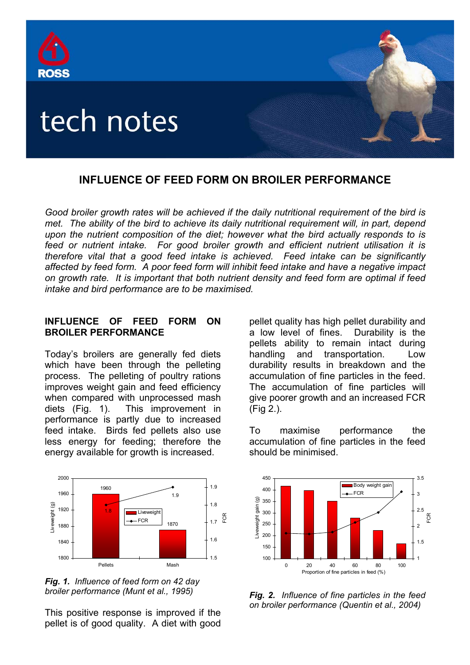

# **INFLUENCE OF FEED FORM ON BROILER PERFORMANCE**

*Good broiler growth rates will be achieved if the daily nutritional requirement of the bird is met. The ability of the bird to achieve its daily nutritional requirement will, in part, depend upon the nutrient composition of the diet; however what the bird actually responds to is feed or nutrient intake. For good broiler growth and efficient nutrient utilisation it is therefore vital that a good feed intake is achieved. Feed intake can be significantly affected by feed form. A poor feed form will inhibit feed intake and have a negative impact on growth rate. It is important that both nutrient density and feed form are optimal if feed intake and bird performance are to be maximised.* 

### **INFLUENCE OF FEED FORM ON BROILER PERFORMANCE**

Today's broilers are generally fed diets which have been through the pelleting process. The pelleting of poultry rations improves weight gain and feed efficiency when compared with unprocessed mash diets (Fig. 1). This improvement in performance is partly due to increased feed intake. Birds fed pellets also use less energy for feeding; therefore the energy available for growth is increased.



*Fig. 1. Influence of feed form on 42 day broiler performance (Munt et al., 1995)* 

This positive response is improved if the pellet is of good quality. A diet with good pellet quality has high pellet durability and a low level of fines. Durability is the pellets ability to remain intact during handling and transportation. Low durability results in breakdown and the accumulation of fine particles in the feed. The accumulation of fine particles will give poorer growth and an increased FCR (Fig 2.).

To maximise performance the accumulation of fine particles in the feed should be minimised.



*Fig. 2. Influence of fine particles in the feed on broiler performance (Quentin et al., 2004)*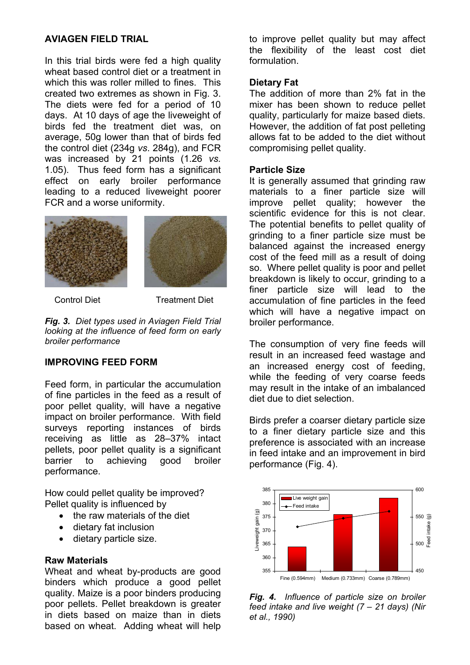# **AVIAGEN FIELD TRIAL**

In this trial birds were fed a high quality wheat based control diet or a treatment in which this was roller milled to fines. This created two extremes as shown in Fig. 3. The diets were fed for a period of 10 days. At 10 days of age the liveweight of birds fed the treatment diet was, on average, 50g lower than that of birds fed the control diet (234g *vs*. 284g), and FCR was increased by 21 points (1.26 *vs.*  1.05). Thus feed form has a significant effect on early broiler performance leading to a reduced liveweight poorer FCR and a worse uniformity.



Control Diet **Treatment Diet** 

*Fig. 3. Diet types used in Aviagen Field Trial looking at the influence of feed form on early broiler performance* 

# **IMPROVING FEED FORM**

Feed form, in particular the accumulation of fine particles in the feed as a result of poor pellet quality, will have a negative impact on broiler performance. With field surveys reporting instances of birds receiving as little as 28–37% intact pellets, poor pellet quality is a significant barrier to achieving good broiler performance.

How could pellet quality be improved? Pellet quality is influenced by

- the raw materials of the diet
- dietary fat inclusion
- dietary particle size.

#### **Raw Materials**

Wheat and wheat by-products are good binders which produce a good pellet quality. Maize is a poor binders producing poor pellets. Pellet breakdown is greater in diets based on maize than in diets based on wheat. Adding wheat will help

to improve pellet quality but may affect the flexibility of the least cost diet formulation.

## **Dietary Fat**

The addition of more than 2% fat in the mixer has been shown to reduce pellet quality, particularly for maize based diets. However, the addition of fat post pelleting allows fat to be added to the diet without compromising pellet quality.

### **Particle Size**

It is generally assumed that grinding raw materials to a finer particle size will improve pellet quality; however the scientific evidence for this is not clear. The potential benefits to pellet quality of grinding to a finer particle size must be balanced against the increased energy cost of the feed mill as a result of doing so. Where pellet quality is poor and pellet breakdown is likely to occur, grinding to a finer particle size will lead to the accumulation of fine particles in the feed which will have a negative impact on broiler performance.

The consumption of very fine feeds will result in an increased feed wastage and an increased energy cost of feeding, while the feeding of very coarse feeds may result in the intake of an imbalanced diet due to diet selection.

Birds prefer a coarser dietary particle size to a finer dietary particle size and this preference is associated with an increase in feed intake and an improvement in bird performance (Fig. 4).



*Fig. 4. Influence of particle size on broiler feed intake and live weight (7 – 21 days) (Nir et al., 1990)*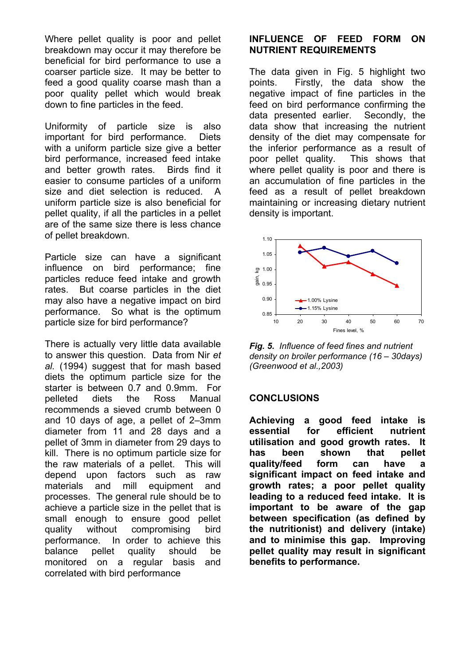Where pellet quality is poor and pellet breakdown may occur it may therefore be beneficial for bird performance to use a coarser particle size. It may be better to feed a good quality coarse mash than a poor quality pellet which would break down to fine particles in the feed.

Uniformity of particle size is also important for bird performance. Diets with a uniform particle size give a better bird performance, increased feed intake and better growth rates. Birds find it easier to consume particles of a uniform size and diet selection is reduced. A uniform particle size is also beneficial for pellet quality, if all the particles in a pellet are of the same size there is less chance of pellet breakdown.

Particle size can have a significant influence on bird performance; fine particles reduce feed intake and growth rates. But coarse particles in the diet may also have a negative impact on bird performance. So what is the optimum particle size for bird performance?

There is actually very little data available to answer this question. Data from Nir *et al.* (1994) suggest that for mash based diets the optimum particle size for the starter is between 0.7 and 0.9mm. For pelleted diets the Ross Manual recommends a sieved crumb between 0 and 10 days of age, a pellet of 2–3mm diameter from 11 and 28 days and a pellet of 3mm in diameter from 29 days to kill. There is no optimum particle size for the raw materials of a pellet. This will depend upon factors such as raw materials and mill equipment and processes. The general rule should be to achieve a particle size in the pellet that is small enough to ensure good pellet quality without compromising bird performance. In order to achieve this balance pellet quality should be monitored on a regular basis and correlated with bird performance

## **INFLUENCE OF FEED FORM ON NUTRIENT REQUIREMENTS**

The data given in Fig. 5 highlight two points. Firstly, the data show the negative impact of fine particles in the feed on bird performance confirming the data presented earlier. Secondly, the data show that increasing the nutrient density of the diet may compensate for the inferior performance as a result of poor pellet quality. This shows that where pellet quality is poor and there is an accumulation of fine particles in the feed as a result of pellet breakdown maintaining or increasing dietary nutrient density is important.



*Fig. 5. Influence of feed fines and nutrient density on broiler performance (16 – 30days) (Greenwood et al.,2003)*

### **CONCLUSIONS**

**Achieving a good feed intake is essential for efficient nutrient utilisation and good growth rates. It has been shown that pellet quality/feed form can have a significant impact on feed intake and growth rates; a poor pellet quality leading to a reduced feed intake. It is important to be aware of the gap between specification (as defined by the nutritionist) and delivery (intake) and to minimise this gap. Improving pellet quality may result in significant benefits to performance.**